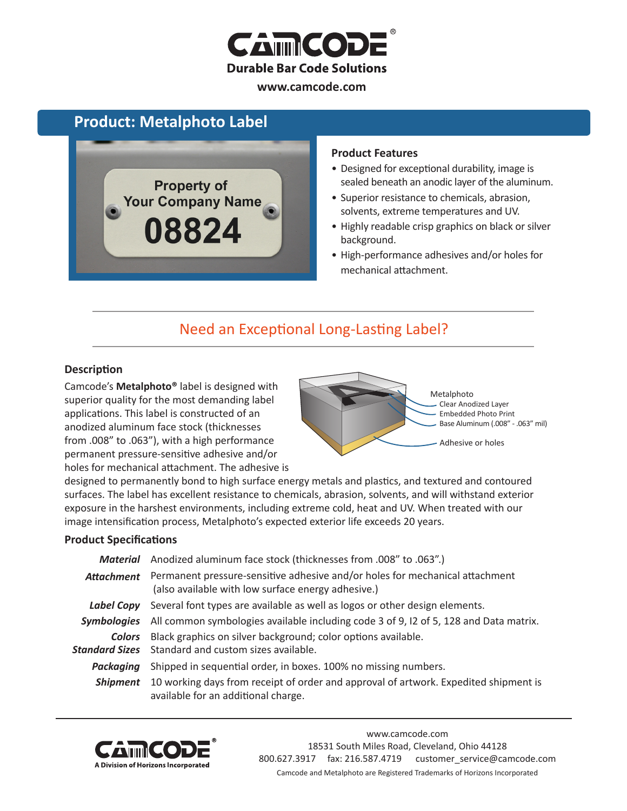

#### **www.camcode.com**

## **Product: Metalphoto Label**



#### **Product Features**

- Designed for exceptional durability, image is sealed beneath an anodic layer of the aluminum.
- Superior resistance to chemicals, abrasion, solvents, extreme temperatures and UV.
- Highly readable crisp graphics on black or silver background.
- High-performance adhesives and/or holes for mechanical attachment.

## Need an Exceptional Long-Lasting Label?

#### **Description**

Camcode's **Metalphoto®** label is designed with superior quality for the most demanding label applications. This label is constructed of an anodized aluminum face stock (thicknesses from .008" to .063"), with a high performance permanent pressure-sensitive adhesive and/or holes for mechanical attachment. The adhesive is



designed to permanently bond to high surface energy metals and plastics, and textured and contoured surfaces. The label has excellent resistance to chemicals, abrasion, solvents, and will withstand exterior exposure in the harshest environments, including extreme cold, heat and UV. When treated with our image intensification process, Metalphoto's expected exterior life exceeds 20 years.

#### **Product Specifications**

|             | Material Anodized aluminum face stock (thicknesses from .008" to .063".)                                                                      |  |  |
|-------------|-----------------------------------------------------------------------------------------------------------------------------------------------|--|--|
|             | Attachment Permanent pressure-sensitive adhesive and/or holes for mechanical attachment<br>(also available with low surface energy adhesive.) |  |  |
|             | Label Copy Several font types are available as well as logos or other design elements.                                                        |  |  |
| Symbologies | All common symbologies available including code 3 of 9, 12 of 5, 128 and Data matrix.                                                         |  |  |
| Colors      | Black graphics on silver background; color options available.<br>Standard Sizes Standard and custom sizes available.                          |  |  |
| Packaging   | Shipped in sequential order, in boxes. 100% no missing numbers.                                                                               |  |  |
| Shipment    | 10 working days from receipt of order and approval of artwork. Expedited shipment is<br>available for an additional charge.                   |  |  |